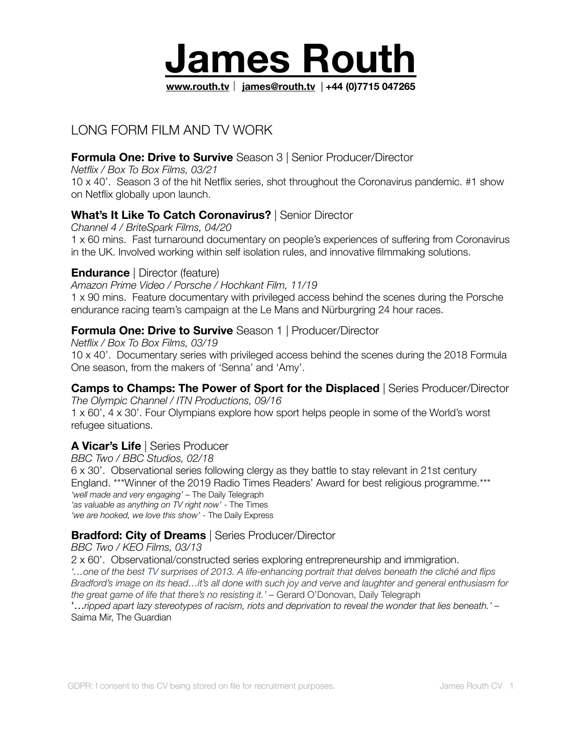

# LONG FORM FILM AND TV WORK

# **Formula One: Drive to Survive** Season 3 | Senior Producer/Director

*Netflix / Box To Box Films, 03/21*  10 x 40'. Season 3 of the hit Netflix series, shot throughout the Coronavirus pandemic. #1 show on Netflix globally upon launch.

## **What's It Like To Catch Coronavirus?** | Senior Director

*Channel 4 / BriteSpark Films, 04/20* 

1 x 60 mins. Fast turnaround documentary on people's experiences of suffering from Coronavirus in the UK. Involved working within self isolation rules, and innovative filmmaking solutions.

#### **Endurance** | Director (feature)

#### *Amazon Prime Video / Porsche / Hochkant Film, 11/19*

1 x 90 mins. Feature documentary with privileged access behind the scenes during the Porsche endurance racing team's campaign at the Le Mans and Nürburgring 24 hour races.

#### **Formula One: Drive to Survive** Season 1 | Producer/Director

*Netflix / Box To Box Films, 03/19*  10 x 40'. Documentary series with privileged access behind the scenes during the 2018 Formula One season, from the makers of 'Senna' and 'Amy'.

#### **Camps to Champs: The Power of Sport for the Displaced** | Series Producer/Director

*The Olympic Channel / ITN Productions, 09/16*  1 x 60', 4 x 30'. Four Olympians explore how sport helps people in some of the World's worst refugee situations.

## **A Vicar's Life** | Series Producer

*BBC Two / BBC Studios, 02/18* 

6 x 30'. Observational series following clergy as they battle to stay relevant in 21st century England. \*\*\*Winner of the 2019 Radio Times Readers' Award for best religious programme.\*\*\* *'well made and very engaging'* – The Daily Telegraph *'as valuable as anything on TV right now'* - The Times *'we are hooked, we love this show'* - The Daily Express

#### **Bradford: City of Dreams** | Series Producer/Director

#### *BBC Two / KEO Films, 03/13*

2 x 60'. Observational/constructed series exploring entrepreneurship and immigration. *'…one of the best [TV](http://www.telegraph.co.uk/culture/tvandradio/) surprises of 2013. A life-enhancing portrait that delves beneath the cliché and flips Bradford's image on its head…it's all done with such joy and verve and laughter and general enthusiasm for the great game of life that there's no resisting it.'* – Gerard O'Donovan, Daily Telegraph '…*ripped apart lazy stereotypes of racism, riots and deprivation to reveal the wonder that lies beneath.' –*

Saima Mir, The Guardian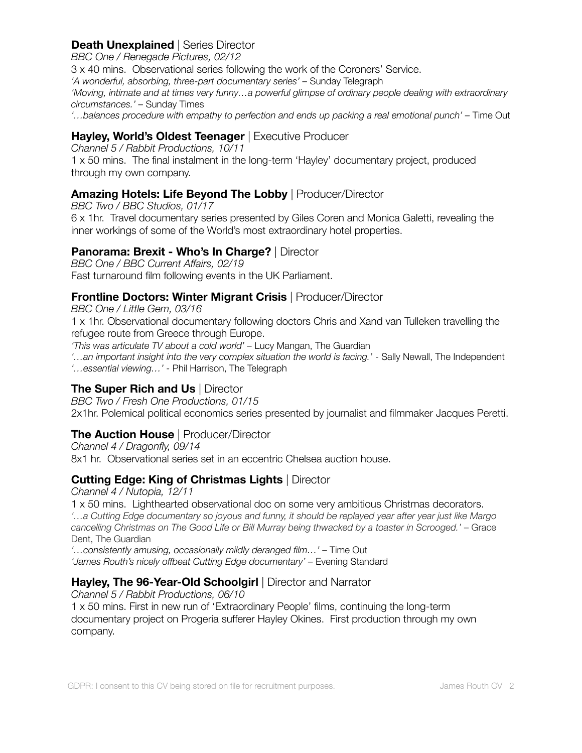### **Death Unexplained** | Series Director

*BBC One / Renegade Pictures, 02/12* 

3 x 40 mins. Observational series following the work of the Coroners' Service.

'A wonderful, absorbing, three-part documentary series' – Sunday Telegraph

*'Moving, intimate and at times very funny…a powerful glimpse of ordinary people dealing with extraordinary circumstances.' –* Sunday Times

*'…balances procedure with empathy to perfection and ends up packing a real emotional punch' –* Time Out

### **Hayley, World's Oldest Teenager** | Executive Producer

*Channel 5 / Rabbit Productions, 10/11*  1 x 50 mins. The final instalment in the long-term 'Hayley' documentary project, produced through my own company.

## **Amazing Hotels: Life Beyond The Lobby** | Producer/Director

*BBC Two / BBC Studios, 01/17*  6 x 1hr. Travel documentary series presented by Giles Coren and Monica Galetti, revealing the inner workings of some of the World's most extraordinary hotel properties.

### **Panorama: Brexit - Who's In Charge?** | Director

*BBC One / BBC Current Affairs, 02/19*  Fast turnaround film following events in the UK Parliament.

### **Frontline Doctors: Winter Migrant Crisis** | Producer/Director

*BBC One / Little Gem, 03/16*  1 x 1hr. Observational documentary following doctors Chris and Xand van Tulleken travelling the refugee route from Greece through Europe.

*'This was articulate TV about a cold world' –* Lucy Mangan, The Guardian

*'…an important insight into the very complex situation the world is facing.'* - Sally Newall, The Independent *'…essential viewing…' -* Phil Harrison, The Telegraph

#### **The Super Rich and Us** | Director

*BBC Two / Fresh One Productions, 01/15*  2x1hr. Polemical political economics series presented by journalist and filmmaker Jacques Peretti.

## **The Auction House** | Producer/Director

*Channel 4 / Dragonfly, 09/14*  8x1 hr. Observational series set in an eccentric Chelsea auction house.

## **Cutting Edge: King of Christmas Lights** | Director

*Channel 4 / Nutopia, 12/11*  1 x 50 mins. Lighthearted observational doc on some very ambitious Christmas decorators. *'…a Cutting Edge documentary so joyous and funny, it should be replayed year after year just like Margo cancelling Christmas on The Good Life or Bill Murray being thwacked by a toaster in Scrooged.'* – Grace Dent, The Guardian

*'…consistently amusing, occasionally mildly deranged film…'* – Time Out 'James Routh's nicely offbeat Cutting Edge documentary' – Evening Standard

## **Hayley, The 96-Year-Old Schoolgirl** | Director and Narrator

*Channel 5 / Rabbit Productions, 06/10*  1 x 50 mins. First in new run of 'Extraordinary People' films, continuing the long-term documentary project on Progeria sufferer Hayley Okines. First production through my own company.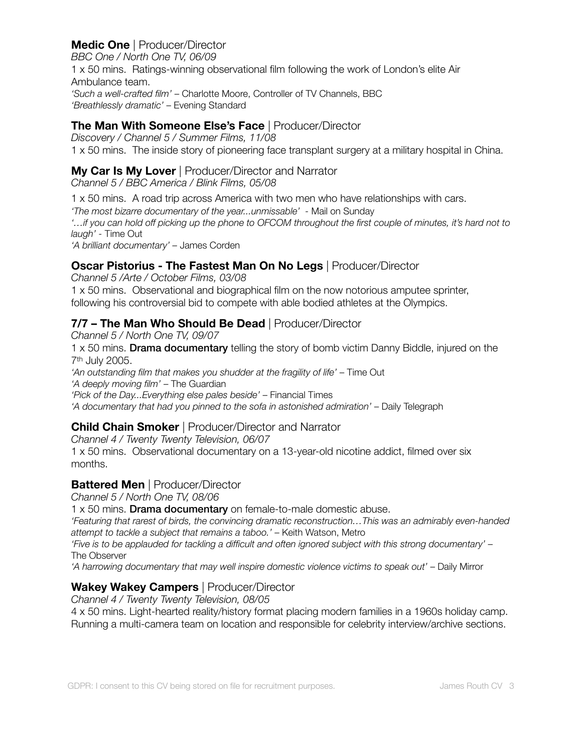## **Medic One** | Producer/Director

*BBC One / North One TV, 06/09*  1 x 50 mins. Ratings-winning observational film following the work of London's elite Air Ambulance team. *'Such a well-crafted film'* – Charlotte Moore, Controller of TV Channels, BBC *'Breathlessly dramatic'* – Evening Standard

#### **The Man With Someone Else's Face** | Producer/Director

*Discovery / Channel 5 / Summer Films, 11/08*  1 x 50 mins. The inside story of pioneering face transplant surgery at a military hospital in China.

#### **My Car Is My Lover** | Producer/Director and Narrator

*Channel 5 / BBC America / Blink Films, 05/08* 

1 x 50 mins. A road trip across America with two men who have relationships with cars.

*'The most bizarre documentary of the year...unmissable' -* Mail on Sunday

*'…if you can hold off picking up the phone to OFCOM throughout the first couple of minutes, it's hard not to laugh' -* Time Out

*'A brilliant documentary' –* James Corden

### **Oscar Pistorius - The Fastest Man On No Legs** | Producer/Director

*Channel 5 /Arte / October Films, 03/08*  1 x 50 mins. Observational and biographical film on the now notorious amputee sprinter, following his controversial bid to compete with able bodied athletes at the Olympics.

# **7/7 – The Man Who Should Be Dead** | Producer/Director

*Channel 5 / North One TV, 09/07*  1 x 50 mins. Drama documentary telling the story of bomb victim Danny Biddle, injured on the 7th July 2005. *'An outstanding film that makes you shudder at the fragility of life'* – Time Out *'A deeply moving film'* – The Guardian *'Pick of the Day...Everything else pales beside' – Financial Times* 'A documentary that had you pinned to the sofa in astonished admiration' – Daily Telegraph

## **Child Chain Smoker** | Producer/Director and Narrator

*Channel 4 / Twenty Twenty Television, 06/07*  1 x 50 mins. Observational documentary on a 13-year-old nicotine addict, filmed over six months.

#### **Battered Men** | Producer/Director

*Channel 5 / North One TV, 08/06* 

1 x 50 mins. Drama documentary on female-to-male domestic abuse.

*'Featuring that rarest of birds, the convincing dramatic reconstruction…This was an admirably even-handed attempt to tackle a subject that remains a taboo.'* – Keith Watson, Metro

*'Five is to be applauded for tackling a difficult and often ignored subject with this strong documentary'* – The Observer

*'A harrowing documentary that may well inspire domestic violence victims to speak out'* – Daily Mirror

## **Wakey Wakey Campers** | Producer/Director

*Channel 4 / Twenty Twenty Television, 08/05*

4 x 50 mins. Light-hearted reality/history format placing modern families in a 1960s holiday camp. Running a multi-camera team on location and responsible for celebrity interview/archive sections.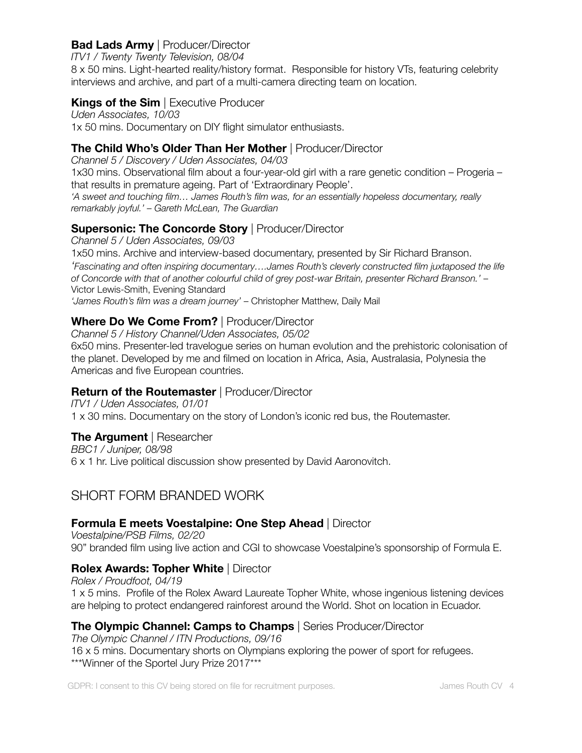#### **Bad Lads Army** | Producer/Director

*ITV1 / Twenty Twenty Television, 08/04*

8 x 50 mins. Light-hearted reality/history format. Responsible for history VTs, featuring celebrity interviews and archive, and part of a multi-camera directing team on location.

### **Kings of the Sim** | Executive Producer

*Uden Associates, 10/03* 1x 50 mins. Documentary on DIY flight simulator enthusiasts.

## **The Child Who's Older Than Her Mother** | Producer/Director

*Channel 5 / Discovery / Uden Associates, 04/03* 1x30 mins. Observational film about a four-year-old girl with a rare genetic condition – Progeria – that results in premature ageing. Part of 'Extraordinary People'. *'A sweet and touching film… James Routh's film was, for an essentially hopeless documentary, really* 

#### *remarkably joyful.' – Gareth McLean, The Guardian*

### **Supersonic: The Concorde Story | Producer/Director**

*Channel 5 / Uden Associates, 09/03* 1x50 mins. Archive and interview-based documentary, presented by Sir Richard Branson. *'Fascinating and often inspiring documentary….James Routh's cleverly constructed film juxtaposed the life of Concorde with that of another colourful child of grey post-war Britain, presenter Richard Branson.'* – Victor Lewis-Smith, Evening Standard *'James Routh's film was a dream journey'* – Christopher Matthew, Daily Mail

## **Where Do We Come From?** | Producer/Director

*Channel 5 / History Channel/Uden Associates, 05/02*

6x50 mins. Presenter-led travelogue series on human evolution and the prehistoric colonisation of the planet. Developed by me and filmed on location in Africa, Asia, Australasia, Polynesia the Americas and five European countries.

## **Return of the Routemaster** | Producer/Director

*ITV1 / Uden Associates, 01/01* 1 x 30 mins. Documentary on the story of London's iconic red bus, the Routemaster.

## **The Argument** | Researcher

*BBC1 / Juniper, 08/98* 6 x 1 hr. Live political discussion show presented by David Aaronovitch.

# SHORT FORM BRANDED WORK

#### **Formula E meets Voestalpine: One Step Ahead** | Director

*Voestalpine/PSB Films, 02/20* 90" branded film using live action and CGI to showcase Voestalpine's sponsorship of Formula E.

#### **Rolex Awards: Topher White** | Director

*Rolex / Proudfoot, 04/19*  1 x 5 mins. Profile of the Rolex Award Laureate Topher White, whose ingenious listening devices are helping to protect endangered rainforest around the World. Shot on location in Ecuador.

#### **The Olympic Channel: Camps to Champs** | Series Producer/Director

*The Olympic Channel / ITN Productions, 09/16*  16 x 5 mins. Documentary shorts on Olympians exploring the power of sport for refugees. \*\*\*Winner of the Sportel Jury Prize 2017\*\*\*